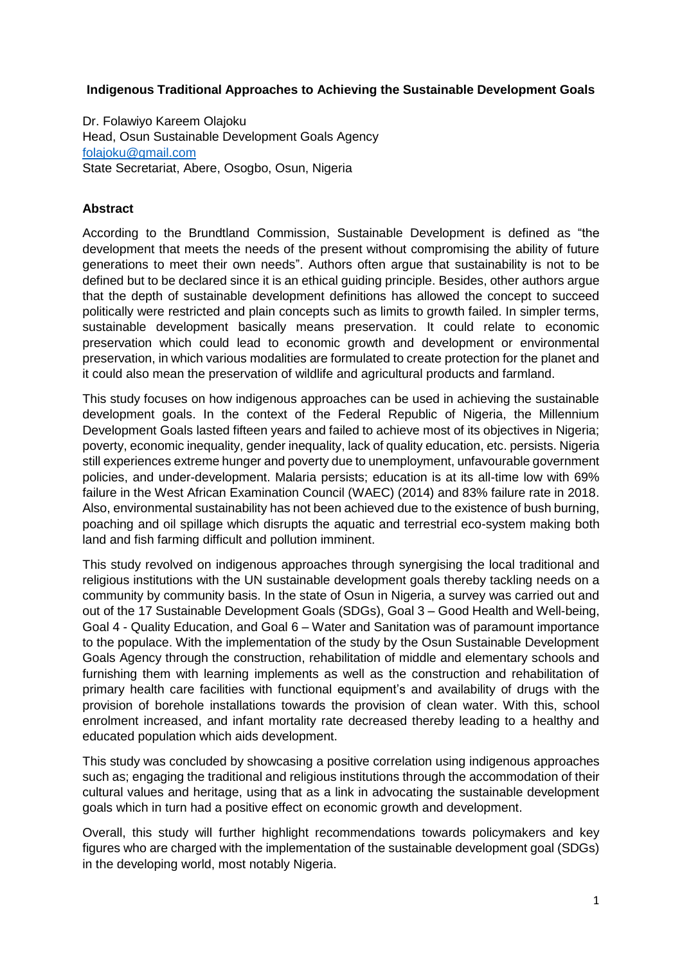#### **Indigenous Traditional Approaches to Achieving the Sustainable Development Goals**

Dr. Folawiyo Kareem Olajoku Head, Osun Sustainable Development Goals Agency [folajoku@gmail.com](mailto:folajoku@gmail.com) State Secretariat, Abere, Osogbo, Osun, Nigeria

#### **Abstract**

According to the Brundtland Commission, Sustainable Development is defined as "the development that meets the needs of the present without compromising the ability of future generations to meet their own needs". Authors often argue that sustainability is not to be defined but to be declared since it is an ethical guiding principle. Besides, other authors argue that the depth of sustainable development definitions has allowed the concept to succeed politically were restricted and plain concepts such as limits to growth failed. In simpler terms, sustainable development basically means preservation. It could relate to economic preservation which could lead to economic growth and development or environmental preservation, in which various modalities are formulated to create protection for the planet and it could also mean the preservation of wildlife and agricultural products and farmland.

This study focuses on how indigenous approaches can be used in achieving the sustainable development goals. In the context of the Federal Republic of Nigeria, the Millennium Development Goals lasted fifteen years and failed to achieve most of its objectives in Nigeria; poverty, economic inequality, gender inequality, lack of quality education, etc. persists. Nigeria still experiences extreme hunger and poverty due to unemployment, unfavourable government policies, and under-development. Malaria persists; education is at its all-time low with 69% failure in the West African Examination Council (WAEC) (2014) and 83% failure rate in 2018. Also, environmental sustainability has not been achieved due to the existence of bush burning, poaching and oil spillage which disrupts the aquatic and terrestrial eco-system making both land and fish farming difficult and pollution imminent.

This study revolved on indigenous approaches through synergising the local traditional and religious institutions with the UN sustainable development goals thereby tackling needs on a community by community basis. In the state of Osun in Nigeria, a survey was carried out and out of the 17 Sustainable Development Goals (SDGs), Goal 3 – Good Health and Well-being, Goal 4 - Quality Education, and Goal 6 – Water and Sanitation was of paramount importance to the populace. With the implementation of the study by the Osun Sustainable Development Goals Agency through the construction, rehabilitation of middle and elementary schools and furnishing them with learning implements as well as the construction and rehabilitation of primary health care facilities with functional equipment's and availability of drugs with the provision of borehole installations towards the provision of clean water. With this, school enrolment increased, and infant mortality rate decreased thereby leading to a healthy and educated population which aids development.

This study was concluded by showcasing a positive correlation using indigenous approaches such as; engaging the traditional and religious institutions through the accommodation of their cultural values and heritage, using that as a link in advocating the sustainable development goals which in turn had a positive effect on economic growth and development.

Overall, this study will further highlight recommendations towards policymakers and key figures who are charged with the implementation of the sustainable development goal (SDGs) in the developing world, most notably Nigeria.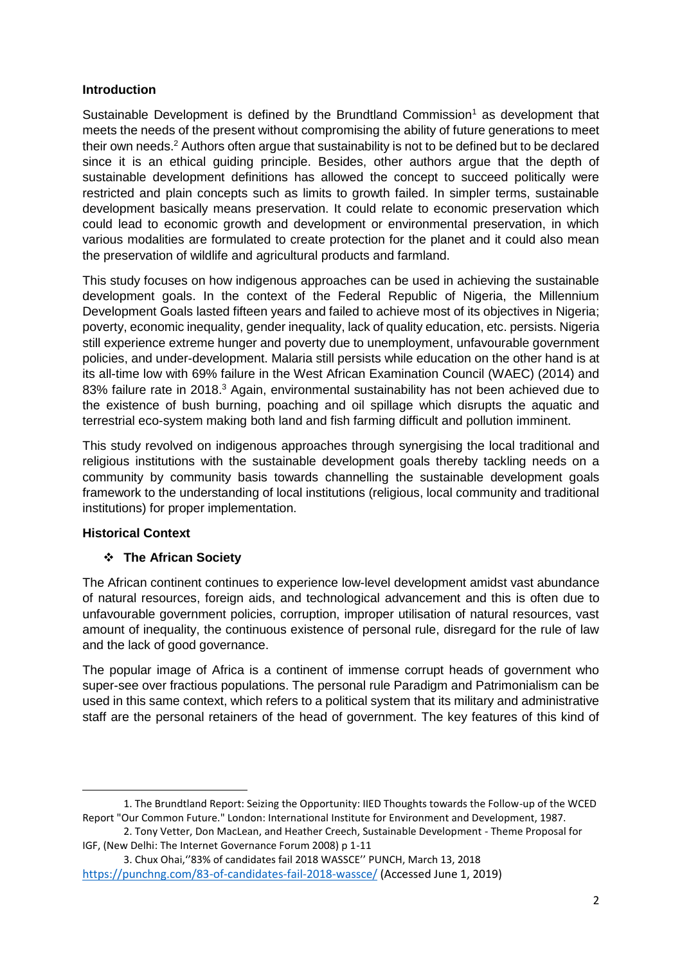#### **Introduction**

Sustainable Development is defined by the Brundtland Commission<sup>1</sup> as development that meets the needs of the present without compromising the ability of future generations to meet their own needs.<sup>2</sup> Authors often argue that sustainability is not to be defined but to be declared since it is an ethical guiding principle. Besides, other authors argue that the depth of sustainable development definitions has allowed the concept to succeed politically were restricted and plain concepts such as limits to growth failed. In simpler terms, sustainable development basically means preservation. It could relate to economic preservation which could lead to economic growth and development or environmental preservation, in which various modalities are formulated to create protection for the planet and it could also mean the preservation of wildlife and agricultural products and farmland.

This study focuses on how indigenous approaches can be used in achieving the sustainable development goals. In the context of the Federal Republic of Nigeria, the Millennium Development Goals lasted fifteen years and failed to achieve most of its objectives in Nigeria; poverty, economic inequality, gender inequality, lack of quality education, etc. persists. Nigeria still experience extreme hunger and poverty due to unemployment, unfavourable government policies, and under-development. Malaria still persists while education on the other hand is at its all-time low with 69% failure in the West African Examination Council (WAEC) (2014) and 83% failure rate in 2018.<sup>3</sup> Again, environmental sustainability has not been achieved due to the existence of bush burning, poaching and oil spillage which disrupts the aquatic and terrestrial eco-system making both land and fish farming difficult and pollution imminent.

This study revolved on indigenous approaches through synergising the local traditional and religious institutions with the sustainable development goals thereby tackling needs on a community by community basis towards channelling the sustainable development goals framework to the understanding of local institutions (religious, local community and traditional institutions) for proper implementation.

# **Historical Context**

**.** 

# ❖ **The African Society**

The African continent continues to experience low-level development amidst vast abundance of natural resources, foreign aids, and technological advancement and this is often due to unfavourable government policies, corruption, improper utilisation of natural resources, vast amount of inequality, the continuous existence of personal rule, disregard for the rule of law and the lack of good governance.

The popular image of Africa is a continent of immense corrupt heads of government who super-see over fractious populations. The personal rule Paradigm and Patrimonialism can be used in this same context, which refers to a political system that its military and administrative staff are the personal retainers of the head of government. The key features of this kind of

<sup>1.</sup> The Brundtland Report: Seizing the Opportunity: IIED Thoughts towards the Follow-up of the WCED Report "Our Common Future." London: International Institute for Environment and Development, 1987.

<sup>2.</sup> Tony Vetter, Don MacLean, and Heather Creech, Sustainable Development - Theme Proposal for IGF, (New Delhi: The Internet Governance Forum 2008) p 1-11

<sup>3.</sup> Chux Ohai,''83% of candidates fail 2018 WASSCE'' PUNCH, March 13, 2018 <https://punchng.com/83-of-candidates-fail-2018-wassce/> (Accessed June 1, 2019)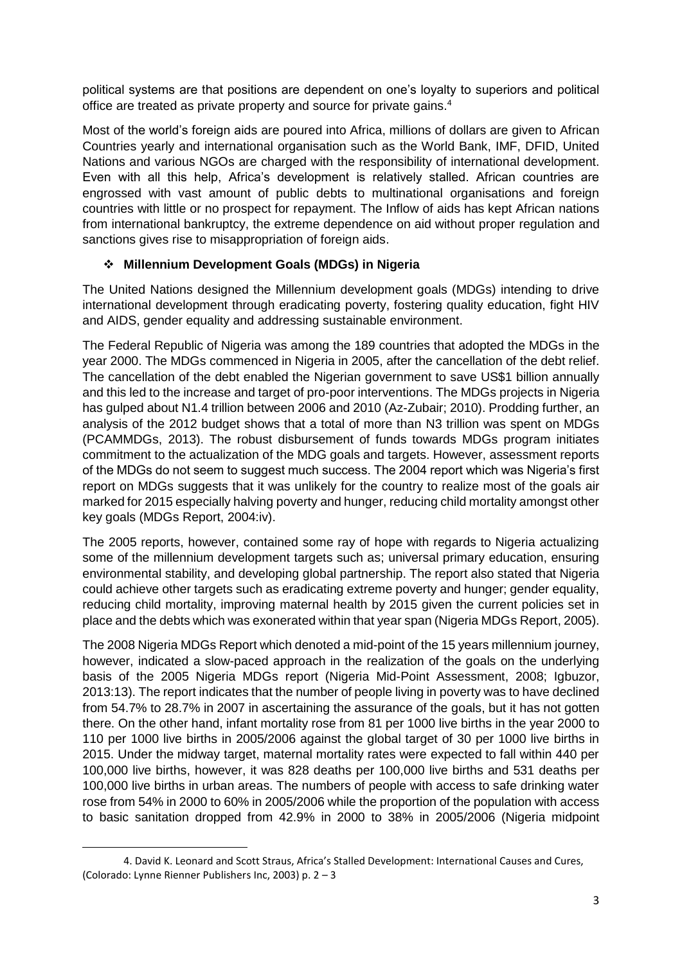political systems are that positions are dependent on one's loyalty to superiors and political office are treated as private property and source for private gains. 4

Most of the world's foreign aids are poured into Africa, millions of dollars are given to African Countries yearly and international organisation such as the World Bank, IMF, DFID, United Nations and various NGOs are charged with the responsibility of international development. Even with all this help, Africa's development is relatively stalled. African countries are engrossed with vast amount of public debts to multinational organisations and foreign countries with little or no prospect for repayment. The Inflow of aids has kept African nations from international bankruptcy, the extreme dependence on aid without proper regulation and sanctions gives rise to misappropriation of foreign aids.

# ❖ **Millennium Development Goals (MDGs) in Nigeria**

The United Nations designed the Millennium development goals (MDGs) intending to drive international development through eradicating poverty, fostering quality education, fight HIV and AIDS, gender equality and addressing sustainable environment.

The Federal Republic of Nigeria was among the 189 countries that adopted the MDGs in the year 2000. The MDGs commenced in Nigeria in 2005, after the cancellation of the debt relief. The cancellation of the debt enabled the Nigerian government to save US\$1 billion annually and this led to the increase and target of pro-poor interventions. The MDGs projects in Nigeria has gulped about N1.4 trillion between 2006 and 2010 (Az-Zubair; 2010). Prodding further, an analysis of the 2012 budget shows that a total of more than N3 trillion was spent on MDGs (PCAMMDGs, 2013). The robust disbursement of funds towards MDGs program initiates commitment to the actualization of the MDG goals and targets. However, assessment reports of the MDGs do not seem to suggest much success. The 2004 report which was Nigeria's first report on MDGs suggests that it was unlikely for the country to realize most of the goals air marked for 2015 especially halving poverty and hunger, reducing child mortality amongst other key goals (MDGs Report, 2004:iv).

The 2005 reports, however, contained some ray of hope with regards to Nigeria actualizing some of the millennium development targets such as; universal primary education, ensuring environmental stability, and developing global partnership. The report also stated that Nigeria could achieve other targets such as eradicating extreme poverty and hunger; gender equality, reducing child mortality, improving maternal health by 2015 given the current policies set in place and the debts which was exonerated within that year span (Nigeria MDGs Report, 2005).

The 2008 Nigeria MDGs Report which denoted a mid-point of the 15 years millennium journey, however, indicated a slow-paced approach in the realization of the goals on the underlying basis of the 2005 Nigeria MDGs report (Nigeria Mid-Point Assessment, 2008; Igbuzor, 2013:13). The report indicates that the number of people living in poverty was to have declined from 54.7% to 28.7% in 2007 in ascertaining the assurance of the goals, but it has not gotten there. On the other hand, infant mortality rose from 81 per 1000 live births in the year 2000 to 110 per 1000 live births in 2005/2006 against the global target of 30 per 1000 live births in 2015. Under the midway target, maternal mortality rates were expected to fall within 440 per 100,000 live births, however, it was 828 deaths per 100,000 live births and 531 deaths per 100,000 live births in urban areas. The numbers of people with access to safe drinking water rose from 54% in 2000 to 60% in 2005/2006 while the proportion of the population with access to basic sanitation dropped from 42.9% in 2000 to 38% in 2005/2006 (Nigeria midpoint

1

<sup>4.</sup> David K. Leonard and Scott Straus, Africa's Stalled Development: International Causes and Cures, (Colorado: Lynne Rienner Publishers Inc, 2003) p. 2 – 3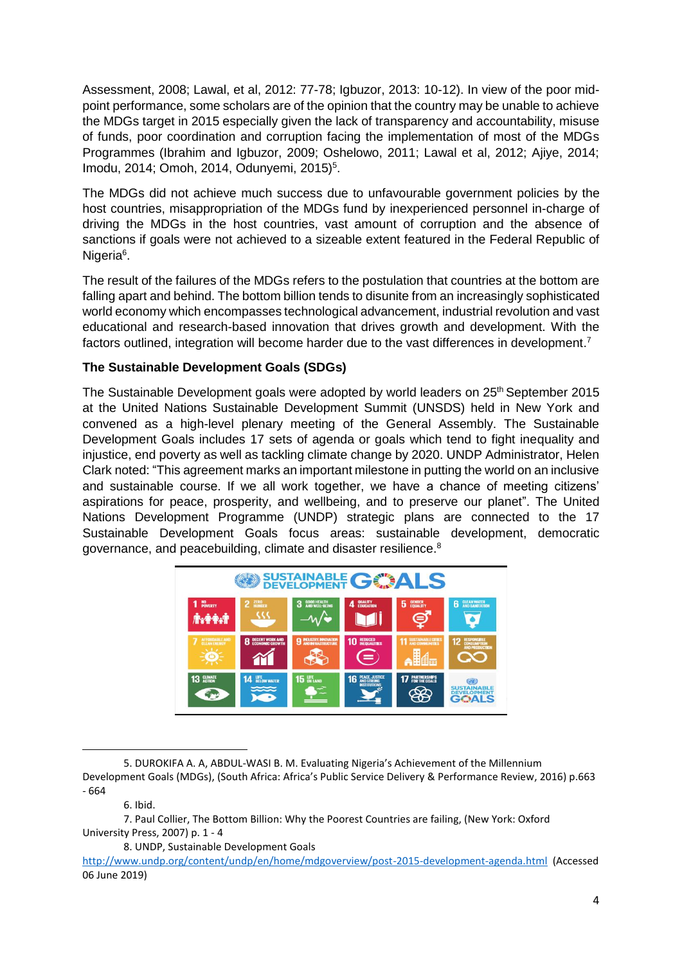Assessment, 2008; Lawal, et al, 2012: 77-78; Igbuzor, 2013: 10-12). In view of the poor midpoint performance, some scholars are of the opinion that the country may be unable to achieve the MDGs target in 2015 especially given the lack of transparency and accountability, misuse of funds, poor coordination and corruption facing the implementation of most of the MDGs Programmes (Ibrahim and Igbuzor, 2009; Oshelowo, 2011; Lawal et al, 2012; Ajiye, 2014; Imodu, 2014; Omoh, 2014, Odunyemi, 2015)<sup>5</sup>.

The MDGs did not achieve much success due to unfavourable government policies by the host countries, misappropriation of the MDGs fund by inexperienced personnel in-charge of driving the MDGs in the host countries, vast amount of corruption and the absence of sanctions if goals were not achieved to a sizeable extent featured in the Federal Republic of Nigeria<sup>6</sup>.

The result of the failures of the MDGs refers to the postulation that countries at the bottom are falling apart and behind. The bottom billion tends to disunite from an increasingly sophisticated world economy which encompasses technological advancement, industrial revolution and vast educational and research-based innovation that drives growth and development. With the factors outlined, integration will become harder due to the vast differences in development.<sup>7</sup>

# **The Sustainable Development Goals (SDGs)**

The Sustainable Development goals were adopted by world leaders on 25<sup>th</sup> September 2015 at the United Nations Sustainable Development Summit (UNSDS) held in New York and convened as a high-level plenary meeting of the General Assembly. The Sustainable Development Goals includes 17 sets of agenda or goals which tend to fight inequality and injustice, end poverty as well as tackling climate change by 2020. UNDP Administrator, Helen Clark noted: "This agreement marks an important milestone in putting the world on an inclusive and sustainable course. If we all work together, we have a chance of meeting citizens' aspirations for peace, prosperity, and wellbeing, and to preserve our planet". The United Nations Development Programme (UNDP) strategic plans are connected to the 17 Sustainable Development Goals focus areas: sustainable development, democratic governance, and peacebuilding, climate and disaster resilience.<sup>8</sup>



<sup>5.</sup> DUROKIFA A. A, ABDUL-WASI B. M. Evaluating Nigeria's Achievement of the Millennium Development Goals (MDGs), (South Africa: Africa's Public Service Delivery & Performance Review, 2016) p.663 - 664

 $\overline{a}$ 

<sup>6.</sup> Ibid.

<sup>7.</sup> Paul Collier, The Bottom Billion: Why the Poorest Countries are failing, (New York: Oxford University Press, 2007) p. 1 - 4

<sup>8.</sup> UNDP, Sustainable Development Goals

<http://www.undp.org/content/undp/en/home/mdgoverview/post-2015-development-agenda.html> (Accessed 06 June 2019)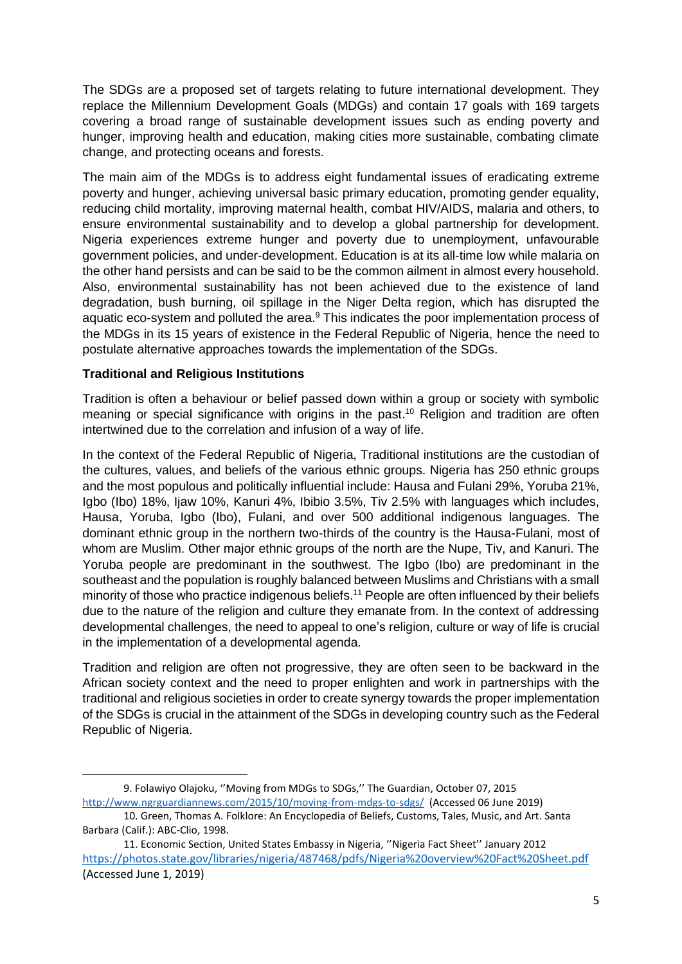The SDGs are a proposed set of targets relating to future international development. They replace the Millennium Development Goals (MDGs) and contain 17 goals with 169 targets covering a broad range of sustainable development issues such as ending poverty and hunger, improving health and education, making cities more sustainable, combating climate change, and protecting oceans and forests.

The main aim of the MDGs is to address eight fundamental issues of eradicating extreme poverty and hunger, achieving universal basic primary education, promoting gender equality, reducing child mortality, improving maternal health, combat HIV/AIDS, malaria and others, to ensure environmental sustainability and to develop a global partnership for development. Nigeria experiences extreme hunger and poverty due to unemployment, unfavourable government policies, and under-development. Education is at its all-time low while malaria on the other hand persists and can be said to be the common ailment in almost every household. Also, environmental sustainability has not been achieved due to the existence of land degradation, bush burning, oil spillage in the Niger Delta region, which has disrupted the aquatic eco-system and polluted the area.<sup>9</sup> This indicates the poor implementation process of the MDGs in its 15 years of existence in the Federal Republic of Nigeria, hence the need to postulate alternative approaches towards the implementation of the SDGs.

#### **Traditional and Religious Institutions**

**.** 

Tradition is often a behaviour or belief passed down within a group or society with symbolic meaning or special significance with origins in the past.<sup>10</sup> Religion and tradition are often intertwined due to the correlation and infusion of a way of life.

In the context of the Federal Republic of Nigeria, Traditional institutions are the custodian of the cultures, values, and beliefs of the various ethnic groups. Nigeria has 250 ethnic groups and the most populous and politically influential include: Hausa and Fulani 29%, Yoruba 21%, Igbo (Ibo) 18%, Ijaw 10%, Kanuri 4%, Ibibio 3.5%, Tiv 2.5% with languages which includes, Hausa, Yoruba, Igbo (Ibo), Fulani, and over 500 additional indigenous languages. The dominant ethnic group in the northern two-thirds of the country is the Hausa-Fulani, most of whom are Muslim. Other major ethnic groups of the north are the Nupe, Tiv, and Kanuri. The Yoruba people are predominant in the southwest. The Igbo (Ibo) are predominant in the southeast and the population is roughly balanced between Muslims and Christians with a small minority of those who practice indigenous beliefs.<sup>11</sup> People are often influenced by their beliefs due to the nature of the religion and culture they emanate from. In the context of addressing developmental challenges, the need to appeal to one's religion, culture or way of life is crucial in the implementation of a developmental agenda.

Tradition and religion are often not progressive, they are often seen to be backward in the African society context and the need to proper enlighten and work in partnerships with the traditional and religious societies in order to create synergy towards the proper implementation of the SDGs is crucial in the attainment of the SDGs in developing country such as the Federal Republic of Nigeria.

<sup>9.</sup> Folawiyo Olajoku, ''Moving from MDGs to SDGs,'' The Guardian, October 07, 2015 <http://www.ngrguardiannews.com/2015/10/moving-from-mdgs-to-sdgs/> (Accessed 06 June 2019)

<sup>10.</sup> Green, Thomas A. Folklore: An Encyclopedia of Beliefs, Customs, Tales, Music, and Art. Santa Barbara (Calif.): ABC-Clio, 1998.

<sup>11.</sup> Economic Section, United States Embassy in Nigeria, ''Nigeria Fact Sheet'' January 2012 <https://photos.state.gov/libraries/nigeria/487468/pdfs/Nigeria%20overview%20Fact%20Sheet.pdf> (Accessed June 1, 2019)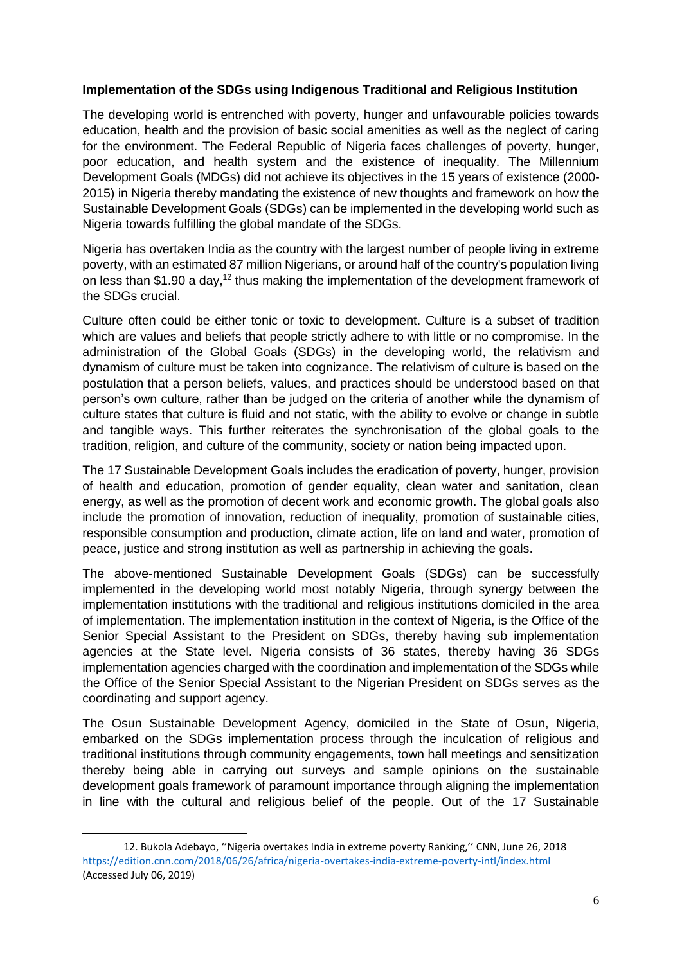#### **Implementation of the SDGs using Indigenous Traditional and Religious Institution**

The developing world is entrenched with poverty, hunger and unfavourable policies towards education, health and the provision of basic social amenities as well as the neglect of caring for the environment. The Federal Republic of Nigeria faces challenges of poverty, hunger, poor education, and health system and the existence of inequality. The Millennium Development Goals (MDGs) did not achieve its objectives in the 15 years of existence (2000- 2015) in Nigeria thereby mandating the existence of new thoughts and framework on how the Sustainable Development Goals (SDGs) can be implemented in the developing world such as Nigeria towards fulfilling the global mandate of the SDGs.

Nigeria has overtaken India as the country with the largest number of people living in extreme poverty, with an estimated 87 million Nigerians, or around half of the country's population living on less than \$1.90 a day,<sup>12</sup> thus making the implementation of the development framework of the SDGs crucial.

Culture often could be either tonic or toxic to development. Culture is a subset of tradition which are values and beliefs that people strictly adhere to with little or no compromise. In the administration of the Global Goals (SDGs) in the developing world, the relativism and dynamism of culture must be taken into cognizance. The relativism of culture is based on the postulation that a person beliefs, values, and practices should be understood based on that person's own culture, rather than be judged on the criteria of another while the dynamism of culture states that culture is fluid and not static, with the ability to evolve or change in subtle and tangible ways. This further reiterates the synchronisation of the global goals to the tradition, religion, and culture of the community, society or nation being impacted upon.

The 17 Sustainable Development Goals includes the eradication of poverty, hunger, provision of health and education, promotion of gender equality, clean water and sanitation, clean energy, as well as the promotion of decent work and economic growth. The global goals also include the promotion of innovation, reduction of inequality, promotion of sustainable cities, responsible consumption and production, climate action, life on land and water, promotion of peace, justice and strong institution as well as partnership in achieving the goals.

The above-mentioned Sustainable Development Goals (SDGs) can be successfully implemented in the developing world most notably Nigeria, through synergy between the implementation institutions with the traditional and religious institutions domiciled in the area of implementation. The implementation institution in the context of Nigeria, is the Office of the Senior Special Assistant to the President on SDGs, thereby having sub implementation agencies at the State level. Nigeria consists of 36 states, thereby having 36 SDGs implementation agencies charged with the coordination and implementation of the SDGs while the Office of the Senior Special Assistant to the Nigerian President on SDGs serves as the coordinating and support agency.

The Osun Sustainable Development Agency, domiciled in the State of Osun, Nigeria, embarked on the SDGs implementation process through the inculcation of religious and traditional institutions through community engagements, town hall meetings and sensitization thereby being able in carrying out surveys and sample opinions on the sustainable development goals framework of paramount importance through aligning the implementation in line with the cultural and religious belief of the people. Out of the 17 Sustainable

**.** 

<sup>12.</sup> Bukola Adebayo, ''Nigeria overtakes India in extreme poverty Ranking,'' CNN, June 26, 2018 <https://edition.cnn.com/2018/06/26/africa/nigeria-overtakes-india-extreme-poverty-intl/index.html> (Accessed July 06, 2019)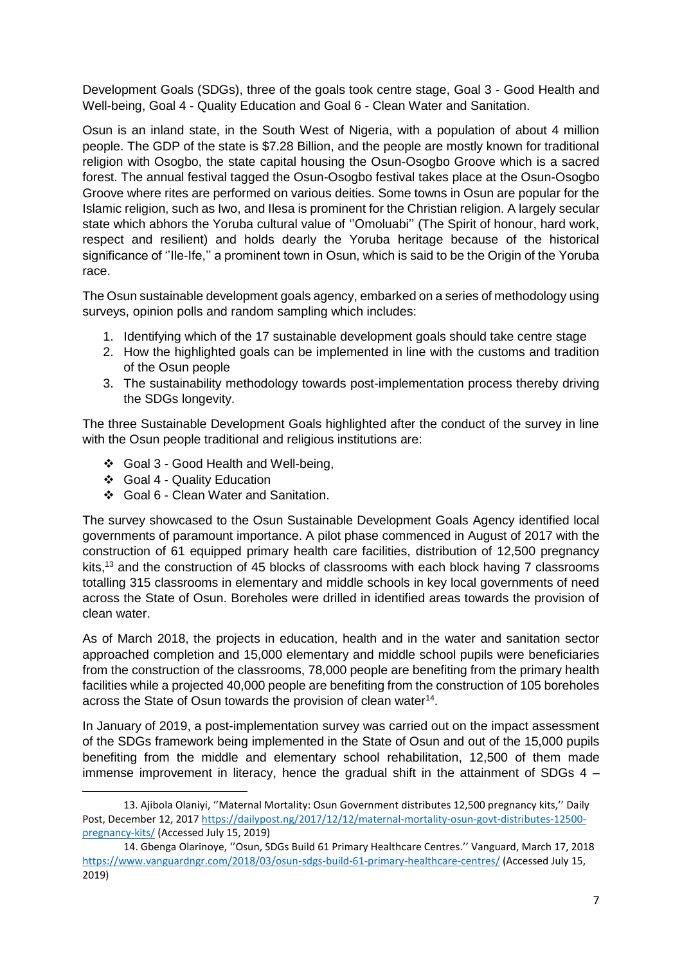Development Goals (SDGs), three of the goals took centre stage, Goal 3 - Good Health and Well-being, Goal 4 - Quality Education and Goal 6 - Clean Water and Sanitation.

Osun is an inland state, in the South West of Nigeria, with a population of about 4 million people. The GDP of the state is \$7.28 Billion, and the people are mostly known for traditional religion with Osogbo, the state capital housing the Osun-Osogbo Groove which is a sacred forest. The annual festival tagged the Osun-Osogbo festival takes place at the Osun-Osogbo Groove where rites are performed on various deities. Some towns in Osun are popular for the Islamic religion, such as Iwo, and Ilesa is prominent for the Christian religion. A largely secular state which abhors the Yoruba cultural value of ''Omoluabi'' (The Spirit of honour, hard work, respect and resilient) and holds dearly the Yoruba heritage because of the historical significance of ''Ile-Ife,'' a prominent town in Osun, which is said to be the Origin of the Yoruba race.

The Osun sustainable development goals agency, embarked on a series of methodology using surveys, opinion polls and random sampling which includes:

- 1. Identifying which of the 17 sustainable development goals should take centre stage
- 2. How the highlighted goals can be implemented in line with the customs and tradition of the Osun people
- 3. The sustainability methodology towards post-implementation process thereby driving the SDGs longevity.

The three Sustainable Development Goals highlighted after the conduct of the survey in line with the Osun people traditional and religious institutions are:

- ❖ Goal 3 Good Health and Well-being,
- ❖ Goal 4 Quality Education

**.** 

❖ Goal 6 - Clean Water and Sanitation.

The survey showcased to the Osun Sustainable Development Goals Agency identified local governments of paramount importance. A pilot phase commenced in August of 2017 with the construction of 61 equipped primary health care facilities, distribution of 12,500 pregnancy kits,<sup>13</sup> and the construction of 45 blocks of classrooms with each block having 7 classrooms totalling 315 classrooms in elementary and middle schools in key local governments of need across the State of Osun. Boreholes were drilled in identified areas towards the provision of clean water.

As of March 2018, the projects in education, health and in the water and sanitation sector approached completion and 15,000 elementary and middle school pupils were beneficiaries from the construction of the classrooms, 78,000 people are benefiting from the primary health facilities while a projected 40,000 people are benefiting from the construction of 105 boreholes across the State of Osun towards the provision of clean water<sup>14</sup>.

In January of 2019, a post-implementation survey was carried out on the impact assessment of the SDGs framework being implemented in the State of Osun and out of the 15,000 pupils benefiting from the middle and elementary school rehabilitation, 12,500 of them made immense improvement in literacy, hence the gradual shift in the attainment of SDGs 4 –

<sup>13</sup>. Ajibola Olaniyi, ''Maternal Mortality: Osun Government distributes 12,500 pregnancy kits,'' Daily Post, December 12, 2017 [https://dailypost.ng/2017/12/12/maternal-mortality-osun-govt-distributes-12500](https://dailypost.ng/2017/12/12/maternal-mortality-osun-govt-distributes-12500-pregnancy-kits/) [pregnancy-kits/](https://dailypost.ng/2017/12/12/maternal-mortality-osun-govt-distributes-12500-pregnancy-kits/) (Accessed July 15, 2019)

<sup>14.</sup> Gbenga Olarinoye, ''Osun, SDGs Build 61 Primary Healthcare Centres.'' Vanguard, March 17, 2018 <https://www.vanguardngr.com/2018/03/osun-sdgs-build-61-primary-healthcare-centres/> (Accessed July 15, 2019)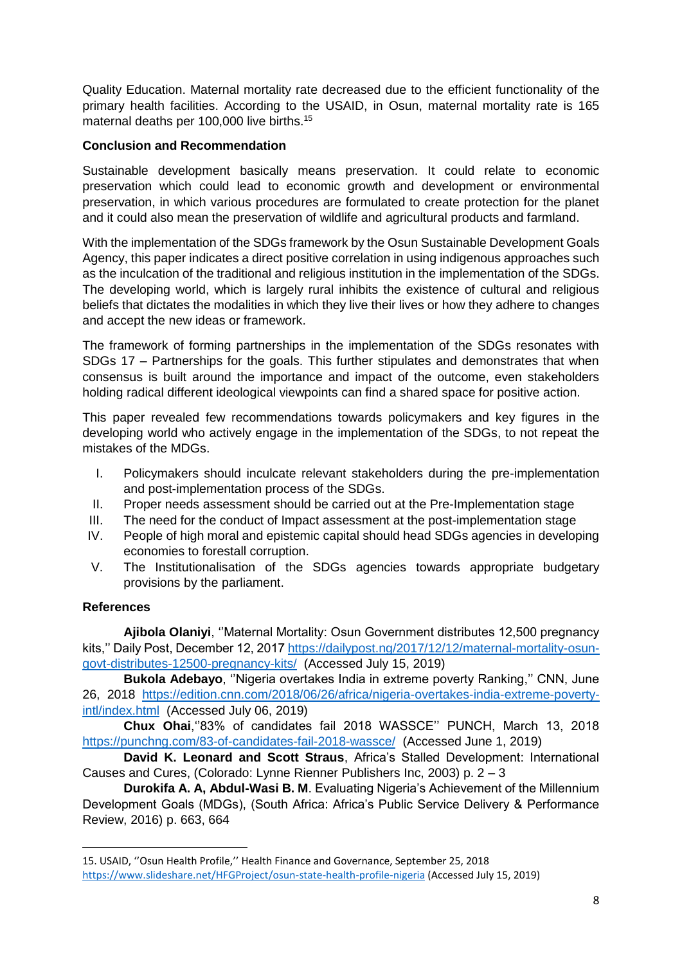Quality Education. Maternal mortality rate decreased due to the efficient functionality of the primary health facilities. According to the USAID, in Osun, maternal mortality rate is 165 maternal deaths per 100,000 live births.<sup>15</sup>

#### **Conclusion and Recommendation**

Sustainable development basically means preservation. It could relate to economic preservation which could lead to economic growth and development or environmental preservation, in which various procedures are formulated to create protection for the planet and it could also mean the preservation of wildlife and agricultural products and farmland.

With the implementation of the SDGs framework by the Osun Sustainable Development Goals Agency, this paper indicates a direct positive correlation in using indigenous approaches such as the inculcation of the traditional and religious institution in the implementation of the SDGs. The developing world, which is largely rural inhibits the existence of cultural and religious beliefs that dictates the modalities in which they live their lives or how they adhere to changes and accept the new ideas or framework.

The framework of forming partnerships in the implementation of the SDGs resonates with SDGs 17 – Partnerships for the goals. This further stipulates and demonstrates that when consensus is built around the importance and impact of the outcome, even stakeholders holding radical different ideological viewpoints can find a shared space for positive action.

This paper revealed few recommendations towards policymakers and key figures in the developing world who actively engage in the implementation of the SDGs, to not repeat the mistakes of the MDGs.

- I. Policymakers should inculcate relevant stakeholders during the pre-implementation and post-implementation process of the SDGs.
- II. Proper needs assessment should be carried out at the Pre-Implementation stage
- III. The need for the conduct of Impact assessment at the post-implementation stage
- IV. People of high moral and epistemic capital should head SDGs agencies in developing economies to forestall corruption.
- V. The Institutionalisation of the SDGs agencies towards appropriate budgetary provisions by the parliament.

# **References**

1

**Ajibola Olaniyi**, ''Maternal Mortality: Osun Government distributes 12,500 pregnancy kits,'' Daily Post, December 12, 2017 [https://dailypost.ng/2017/12/12/maternal-mortality-osun](https://dailypost.ng/2017/12/12/maternal-mortality-osun-govt-distributes-12500-pregnancy-kits/)[govt-distributes-12500-pregnancy-kits/](https://dailypost.ng/2017/12/12/maternal-mortality-osun-govt-distributes-12500-pregnancy-kits/) (Accessed July 15, 2019)

**Bukola Adebayo**, ''Nigeria overtakes India in extreme poverty Ranking,'' CNN, June 26, 2018 [https://edition.cnn.com/2018/06/26/africa/nigeria-overtakes-india-extreme-poverty](https://edition.cnn.com/2018/06/26/africa/nigeria-overtakes-india-extreme-poverty-intl/index.html)[intl/index.html](https://edition.cnn.com/2018/06/26/africa/nigeria-overtakes-india-extreme-poverty-intl/index.html) (Accessed July 06, 2019)

**Chux Ohai**,''83% of candidates fail 2018 WASSCE'' PUNCH, March 13, 2018 <https://punchng.com/83-of-candidates-fail-2018-wassce/>(Accessed June 1, 2019)

**David K. Leonard and Scott Straus**, Africa's Stalled Development: International Causes and Cures, (Colorado: Lynne Rienner Publishers Inc, 2003) p. 2 – 3

**Durokifa A. A, Abdul-Wasi B. M**. Evaluating Nigeria's Achievement of the Millennium Development Goals (MDGs), (South Africa: Africa's Public Service Delivery & Performance Review, 2016) p. 663, 664

<sup>15</sup>. USAID, ''Osun Health Profile,'' Health Finance and Governance, September 25, 2018 <https://www.slideshare.net/HFGProject/osun-state-health-profile-nigeria> (Accessed July 15, 2019)